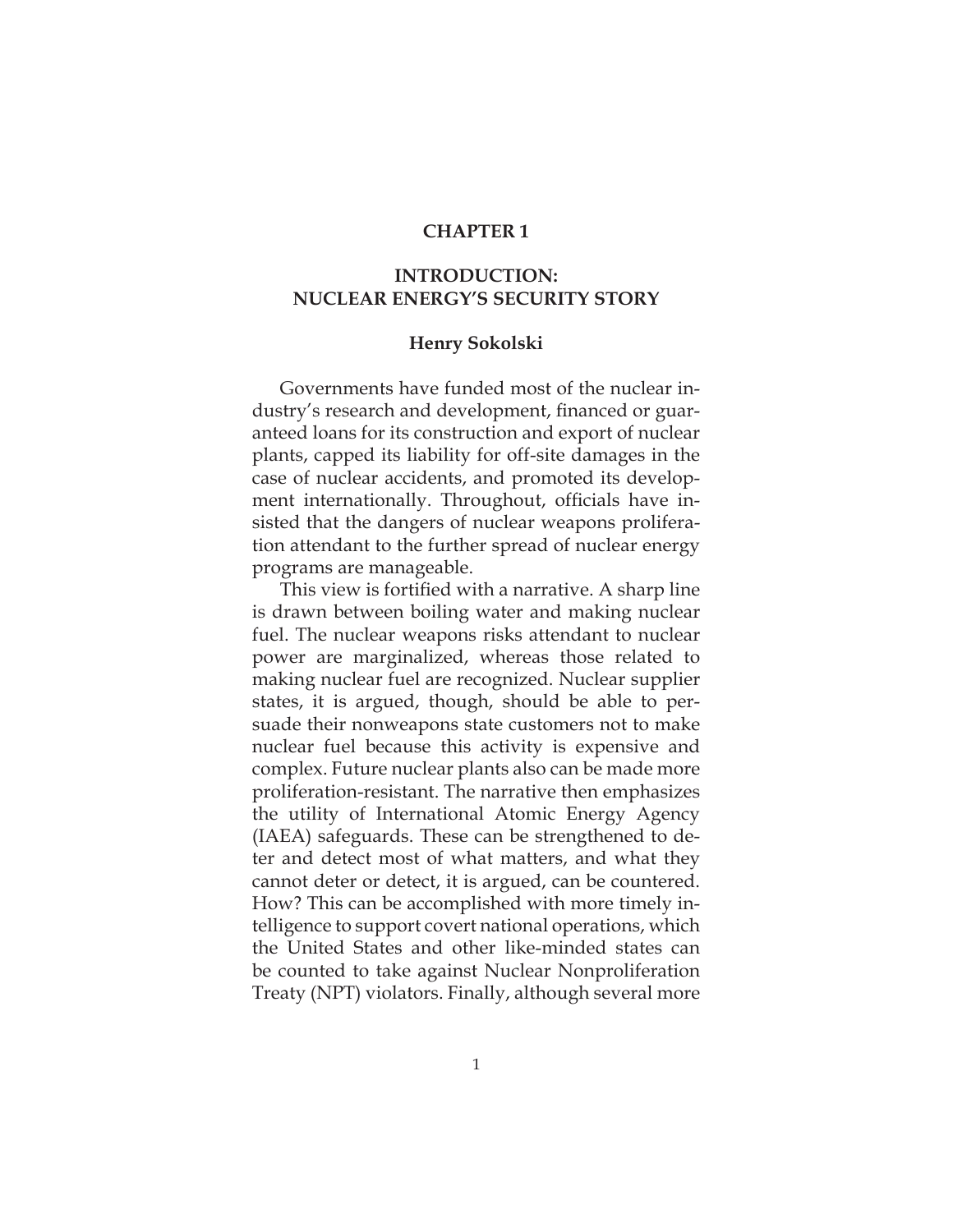## **CHAPTER 1**

## **INTRODUCTION: NUCLEAR ENERGY'S SECURITY STORY**

## **Henry Sokolski**

Governments have funded most of the nuclear industry's research and development, financed or guaranteed loans for its construction and export of nuclear plants, capped its liability for off-site damages in the case of nuclear accidents, and promoted its development internationally. Throughout, officials have insisted that the dangers of nuclear weapons proliferation attendant to the further spread of nuclear energy programs are manageable.

This view is fortified with a narrative. A sharp line is drawn between boiling water and making nuclear fuel. The nuclear weapons risks attendant to nuclear power are marginalized, whereas those related to making nuclear fuel are recognized. Nuclear supplier states, it is argued, though, should be able to persuade their nonweapons state customers not to make nuclear fuel because this activity is expensive and complex. Future nuclear plants also can be made more proliferation-resistant. The narrative then emphasizes the utility of International Atomic Energy Agency (IAEA) safeguards. These can be strengthened to deter and detect most of what matters, and what they cannot deter or detect, it is argued, can be countered. How? This can be accomplished with more timely intelligence to support covert national operations, which the United States and other like-minded states can be counted to take against Nuclear Nonproliferation Treaty (NPT) violators. Finally, although several more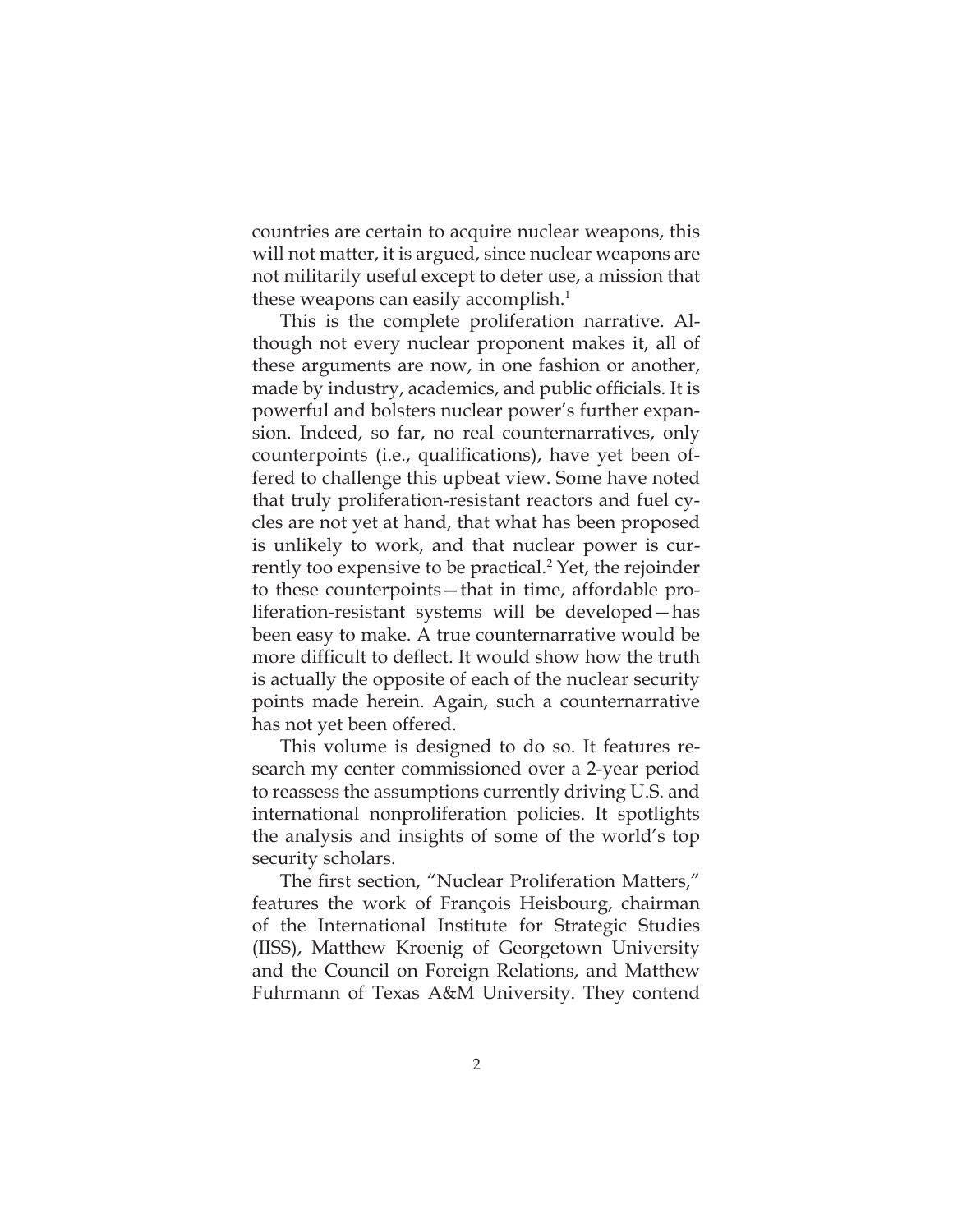countries are certain to acquire nuclear weapons, this will not matter, it is argued, since nuclear weapons are not militarily useful except to deter use, a mission that these weapons can easily accomplish.<sup>1</sup>

This is the complete proliferation narrative. Although not every nuclear proponent makes it, all of these arguments are now, in one fashion or another, made by industry, academics, and public officials. It is powerful and bolsters nuclear power's further expansion. Indeed, so far, no real counternarratives, only counterpoints (i.e., qualifications), have yet been offered to challenge this upbeat view. Some have noted that truly proliferation-resistant reactors and fuel cycles are not yet at hand, that what has been proposed is unlikely to work, and that nuclear power is currently too expensive to be practical.<sup>2</sup> Yet, the rejoinder to these counterpoints—that in time, affordable proliferation-resistant systems will be developed—has been easy to make. A true counternarrative would be more difficult to deflect. It would show how the truth is actually the opposite of each of the nuclear security points made herein. Again, such a counternarrative has not yet been offered.

This volume is designed to do so. It features research my center commissioned over a 2-year period to reassess the assumptions currently driving U.S. and international nonproliferation policies. It spotlights the analysis and insights of some of the world's top security scholars.

The first section, "Nuclear Proliferation Matters," features the work of François Heisbourg, chairman of the International Institute for Strategic Studies (IISS), Matthew Kroenig of Georgetown University and the Council on Foreign Relations, and Matthew Fuhrmann of Texas A&M University. They contend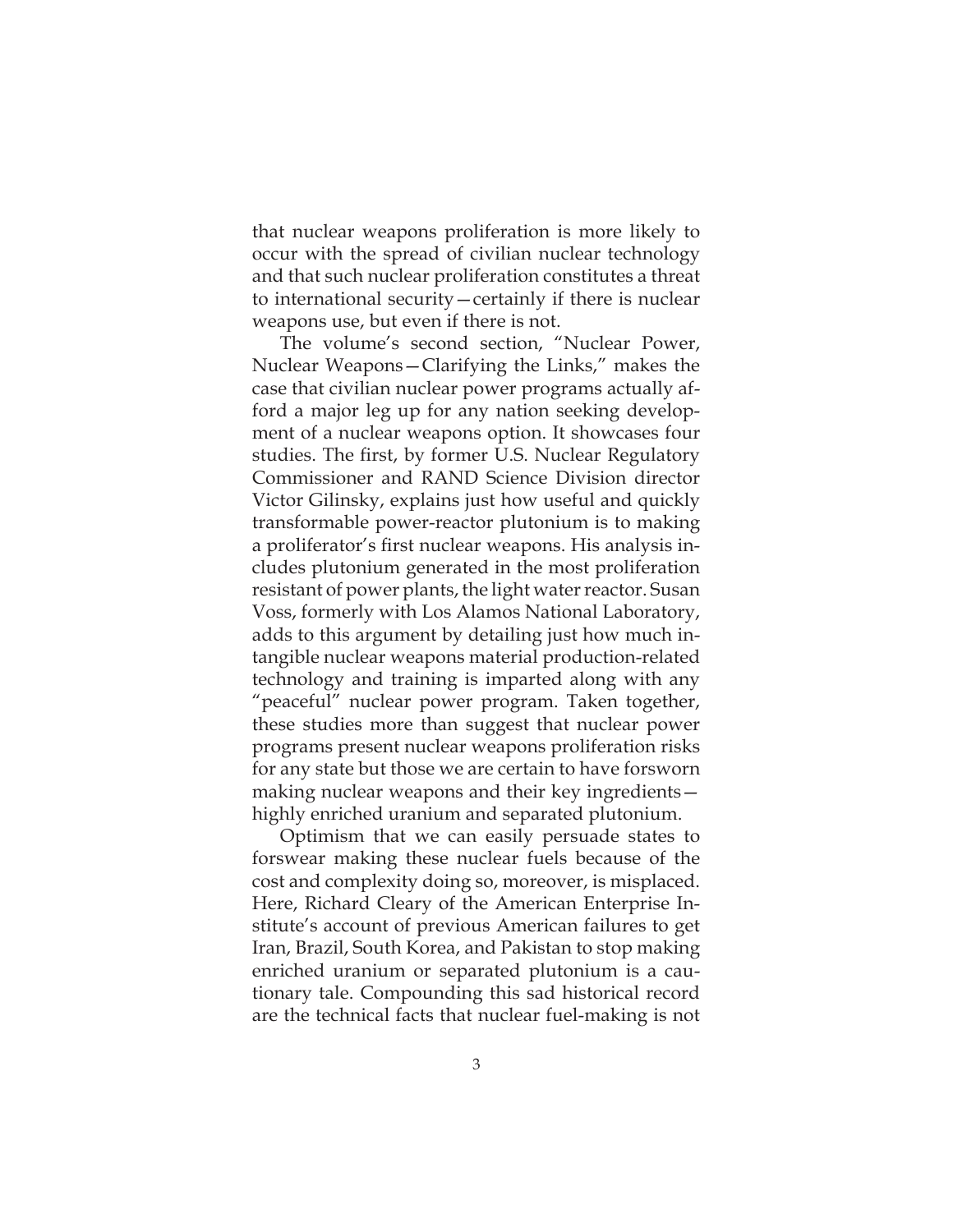that nuclear weapons proliferation is more likely to occur with the spread of civilian nuclear technology and that such nuclear proliferation constitutes a threat to international security—certainly if there is nuclear weapons use, but even if there is not.

The volume's second section, "Nuclear Power, Nuclear Weapons—Clarifying the Links," makes the case that civilian nuclear power programs actually afford a major leg up for any nation seeking development of a nuclear weapons option. It showcases four studies. The first, by former U.S. Nuclear Regulatory Commissioner and RAND Science Division director Victor Gilinsky, explains just how useful and quickly transformable power-reactor plutonium is to making a proliferator's first nuclear weapons. His analysis includes plutonium generated in the most proliferation resistant of power plants, the light water reactor. Susan Voss, formerly with Los Alamos National Laboratory, adds to this argument by detailing just how much intangible nuclear weapons material production-related technology and training is imparted along with any "peaceful" nuclear power program. Taken together, these studies more than suggest that nuclear power programs present nuclear weapons proliferation risks for any state but those we are certain to have forsworn making nuclear weapons and their key ingredients highly enriched uranium and separated plutonium.

Optimism that we can easily persuade states to forswear making these nuclear fuels because of the cost and complexity doing so, moreover, is misplaced. Here, Richard Cleary of the American Enterprise Institute's account of previous American failures to get Iran, Brazil, South Korea, and Pakistan to stop making enriched uranium or separated plutonium is a cautionary tale. Compounding this sad historical record are the technical facts that nuclear fuel-making is not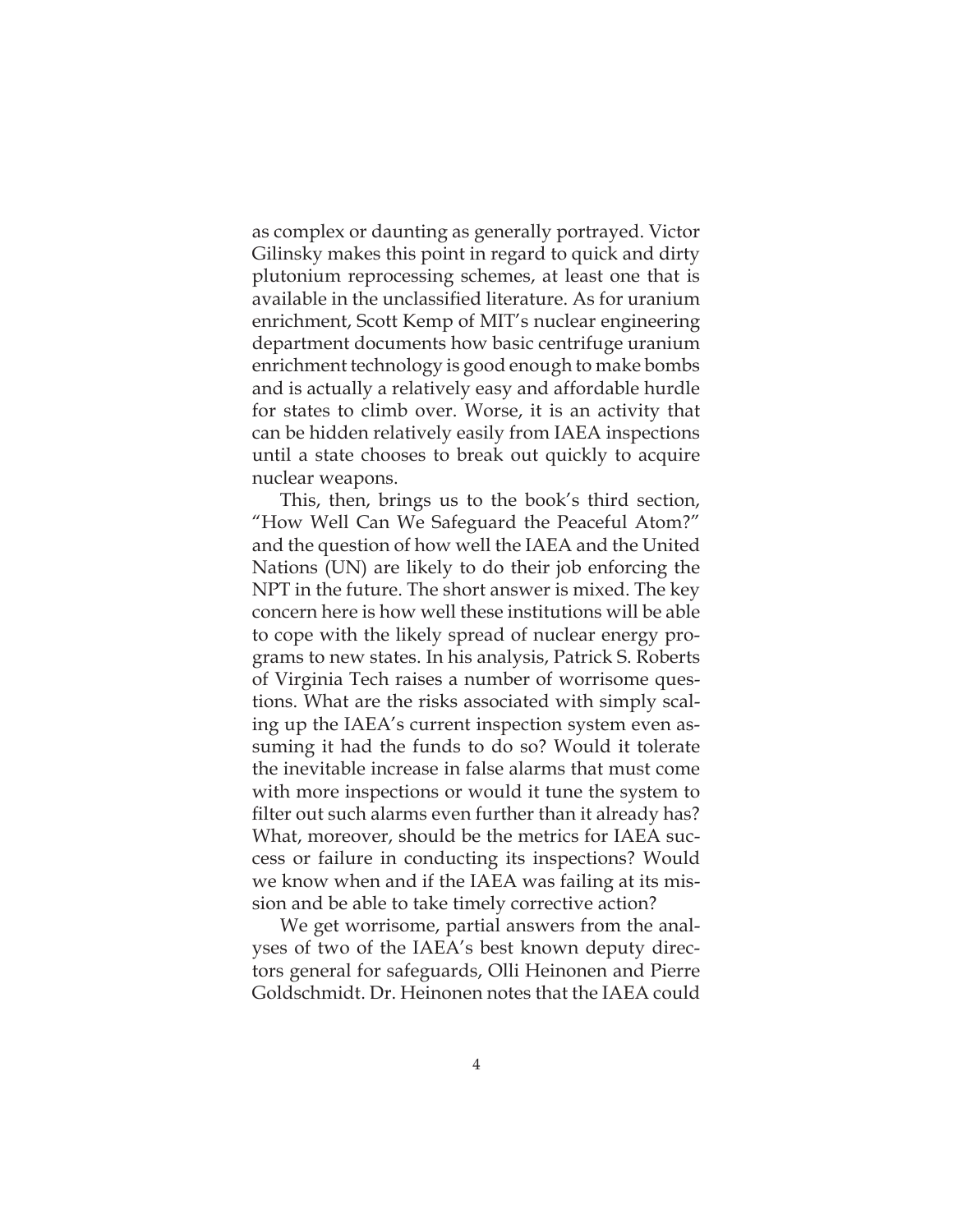as complex or daunting as generally portrayed. Victor Gilinsky makes this point in regard to quick and dirty plutonium reprocessing schemes, at least one that is available in the unclassified literature. As for uranium enrichment, Scott Kemp of MIT's nuclear engineering department documents how basic centrifuge uranium enrichment technology is good enough to make bombs and is actually a relatively easy and affordable hurdle for states to climb over. Worse, it is an activity that can be hidden relatively easily from IAEA inspections until a state chooses to break out quickly to acquire nuclear weapons.

This, then, brings us to the book's third section, "How Well Can We Safeguard the Peaceful Atom?" and the question of how well the IAEA and the United Nations (UN) are likely to do their job enforcing the NPT in the future. The short answer is mixed. The key concern here is how well these institutions will be able to cope with the likely spread of nuclear energy programs to new states. In his analysis, Patrick S. Roberts of Virginia Tech raises a number of worrisome questions. What are the risks associated with simply scaling up the IAEA's current inspection system even assuming it had the funds to do so? Would it tolerate the inevitable increase in false alarms that must come with more inspections or would it tune the system to filter out such alarms even further than it already has? What, moreover, should be the metrics for IAEA success or failure in conducting its inspections? Would we know when and if the IAEA was failing at its mission and be able to take timely corrective action?

We get worrisome, partial answers from the analyses of two of the IAEA's best known deputy directors general for safeguards, Olli Heinonen and Pierre Goldschmidt. Dr. Heinonen notes that the IAEA could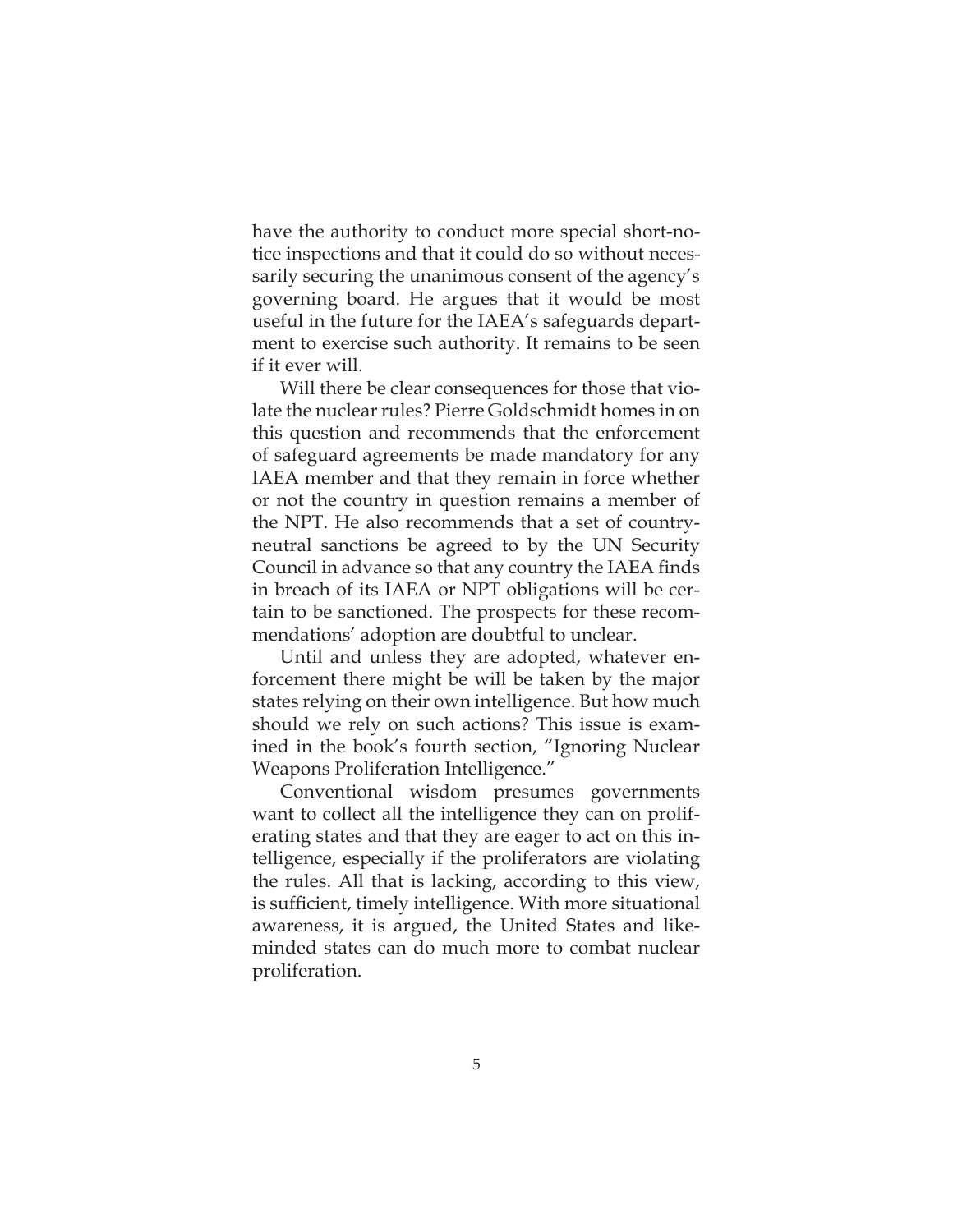have the authority to conduct more special short-notice inspections and that it could do so without necessarily securing the unanimous consent of the agency's governing board. He argues that it would be most useful in the future for the IAEA's safeguards department to exercise such authority. It remains to be seen if it ever will.

Will there be clear consequences for those that violate the nuclear rules? Pierre Goldschmidt homes in on this question and recommends that the enforcement of safeguard agreements be made mandatory for any IAEA member and that they remain in force whether or not the country in question remains a member of the NPT. He also recommends that a set of countryneutral sanctions be agreed to by the UN Security Council in advance so that any country the IAEA finds in breach of its IAEA or NPT obligations will be certain to be sanctioned. The prospects for these recommendations' adoption are doubtful to unclear.

Until and unless they are adopted, whatever enforcement there might be will be taken by the major states relying on their own intelligence. But how much should we rely on such actions? This issue is examined in the book's fourth section, "Ignoring Nuclear Weapons Proliferation Intelligence."

Conventional wisdom presumes governments want to collect all the intelligence they can on proliferating states and that they are eager to act on this intelligence, especially if the proliferators are violating the rules. All that is lacking, according to this view, is sufficient, timely intelligence. With more situational awareness, it is argued, the United States and likeminded states can do much more to combat nuclear proliferation.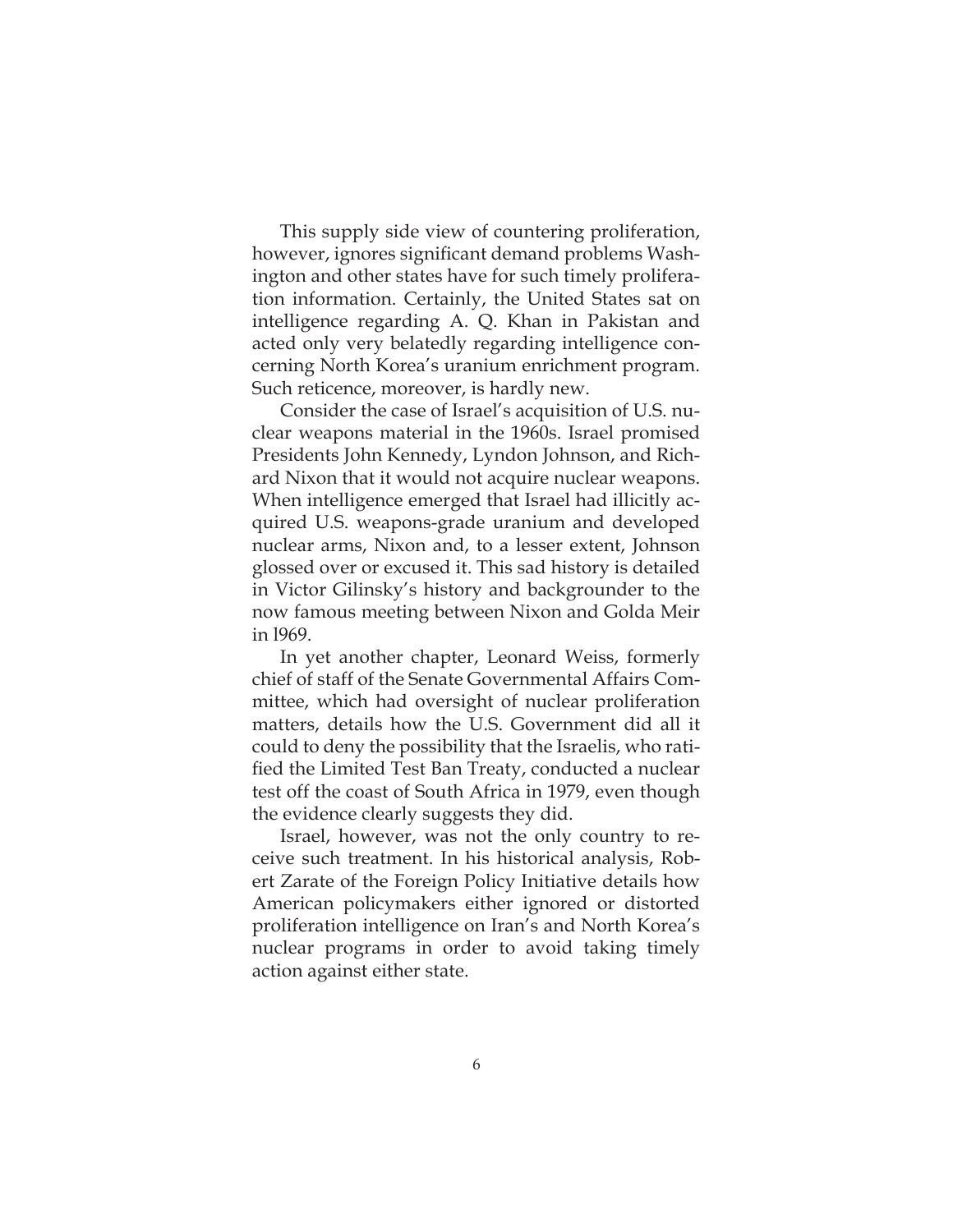This supply side view of countering proliferation, however, ignores significant demand problems Washington and other states have for such timely proliferation information. Certainly, the United States sat on intelligence regarding A. Q. Khan in Pakistan and acted only very belatedly regarding intelligence concerning North Korea's uranium enrichment program. Such reticence, moreover, is hardly new.

Consider the case of Israel's acquisition of U.S. nuclear weapons material in the 1960s. Israel promised Presidents John Kennedy, Lyndon Johnson, and Richard Nixon that it would not acquire nuclear weapons. When intelligence emerged that Israel had illicitly acquired U.S. weapons-grade uranium and developed nuclear arms, Nixon and, to a lesser extent, Johnson glossed over or excused it. This sad history is detailed in Victor Gilinsky's history and backgrounder to the now famous meeting between Nixon and Golda Meir in l969.

In yet another chapter, Leonard Weiss, formerly chief of staff of the Senate Governmental Affairs Committee, which had oversight of nuclear proliferation matters, details how the U.S. Government did all it could to deny the possibility that the Israelis, who ratified the Limited Test Ban Treaty, conducted a nuclear test off the coast of South Africa in 1979, even though the evidence clearly suggests they did.

Israel, however, was not the only country to receive such treatment. In his historical analysis, Robert Zarate of the Foreign Policy Initiative details how American policymakers either ignored or distorted proliferation intelligence on Iran's and North Korea's nuclear programs in order to avoid taking timely action against either state.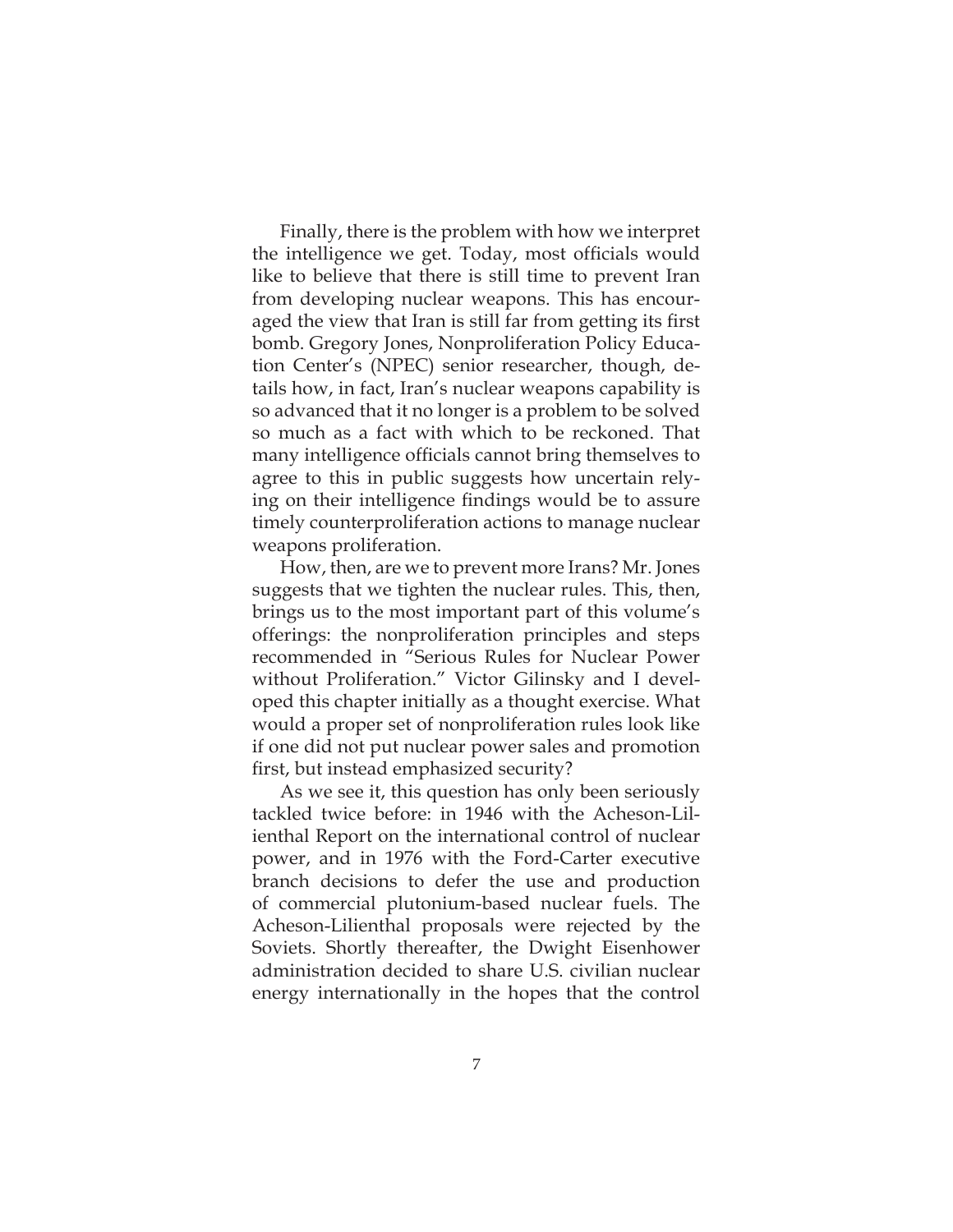Finally, there is the problem with how we interpret the intelligence we get. Today, most officials would like to believe that there is still time to prevent Iran from developing nuclear weapons. This has encouraged the view that Iran is still far from getting its first bomb. Gregory Jones, Nonproliferation Policy Education Center's (NPEC) senior researcher, though, details how, in fact, Iran's nuclear weapons capability is so advanced that it no longer is a problem to be solved so much as a fact with which to be reckoned. That many intelligence officials cannot bring themselves to agree to this in public suggests how uncertain relying on their intelligence findings would be to assure timely counterproliferation actions to manage nuclear weapons proliferation.

How, then, are we to prevent more Irans? Mr. Jones suggests that we tighten the nuclear rules. This, then, brings us to the most important part of this volume's offerings: the nonproliferation principles and steps recommended in "Serious Rules for Nuclear Power without Proliferation." Victor Gilinsky and I developed this chapter initially as a thought exercise. What would a proper set of nonproliferation rules look like if one did not put nuclear power sales and promotion first, but instead emphasized security?

As we see it, this question has only been seriously tackled twice before: in 1946 with the Acheson-Lilienthal Report on the international control of nuclear power, and in 1976 with the Ford-Carter executive branch decisions to defer the use and production of commercial plutonium-based nuclear fuels. The Acheson-Lilienthal proposals were rejected by the Soviets. Shortly thereafter, the Dwight Eisenhower administration decided to share U.S. civilian nuclear energy internationally in the hopes that the control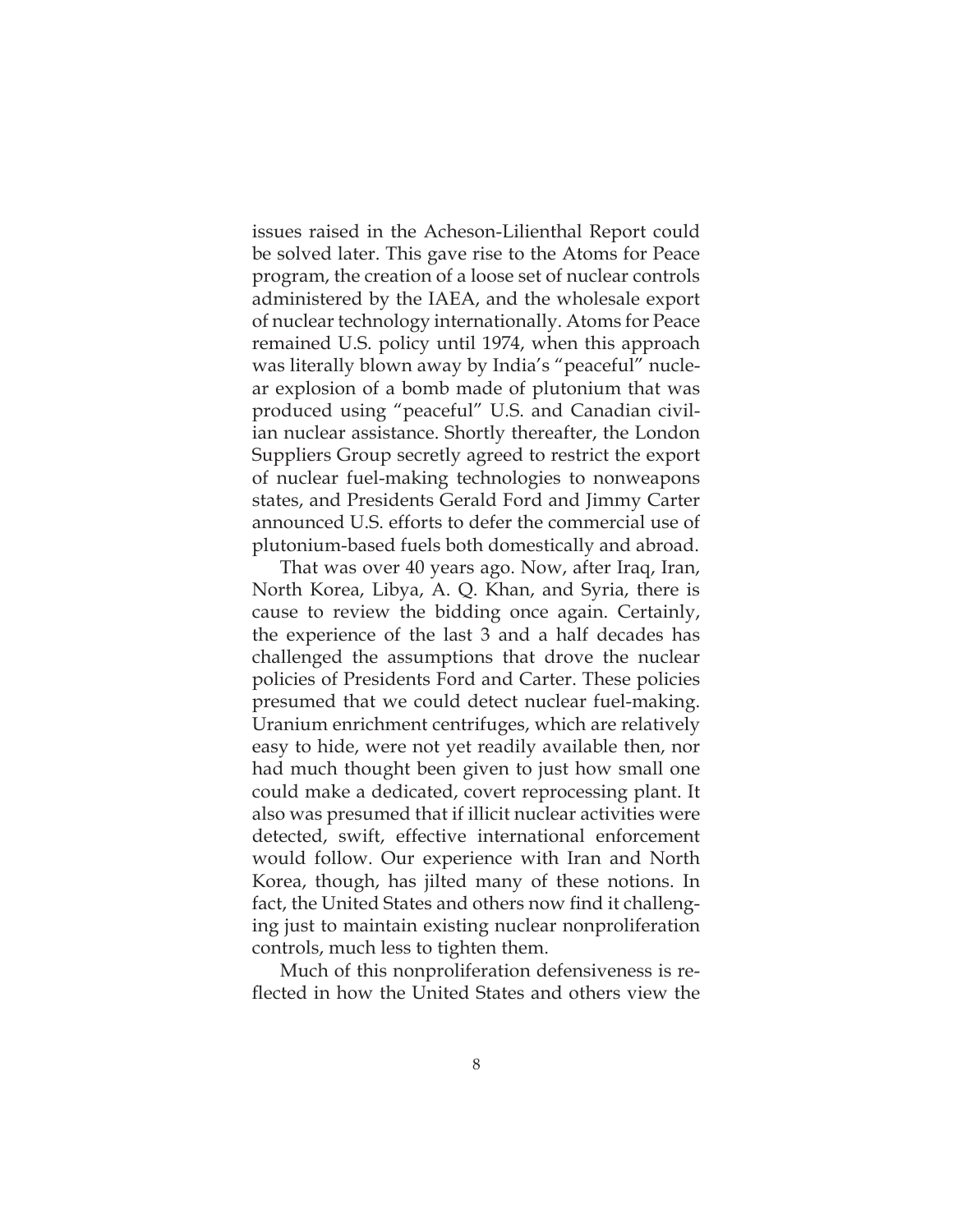issues raised in the Acheson-Lilienthal Report could be solved later. This gave rise to the Atoms for Peace program, the creation of a loose set of nuclear controls administered by the IAEA, and the wholesale export of nuclear technology internationally. Atoms for Peace remained U.S. policy until 1974, when this approach was literally blown away by India's "peaceful" nuclear explosion of a bomb made of plutonium that was produced using "peaceful" U.S. and Canadian civilian nuclear assistance. Shortly thereafter, the London Suppliers Group secretly agreed to restrict the export of nuclear fuel-making technologies to nonweapons states, and Presidents Gerald Ford and Jimmy Carter announced U.S. efforts to defer the commercial use of plutonium-based fuels both domestically and abroad.

That was over 40 years ago. Now, after Iraq, Iran, North Korea, Libya, A. Q. Khan, and Syria, there is cause to review the bidding once again. Certainly, the experience of the last 3 and a half decades has challenged the assumptions that drove the nuclear policies of Presidents Ford and Carter. These policies presumed that we could detect nuclear fuel-making. Uranium enrichment centrifuges, which are relatively easy to hide, were not yet readily available then, nor had much thought been given to just how small one could make a dedicated, covert reprocessing plant. It also was presumed that if illicit nuclear activities were detected, swift, effective international enforcement would follow. Our experience with Iran and North Korea, though, has jilted many of these notions. In fact, the United States and others now find it challenging just to maintain existing nuclear nonproliferation controls, much less to tighten them.

Much of this nonproliferation defensiveness is reflected in how the United States and others view the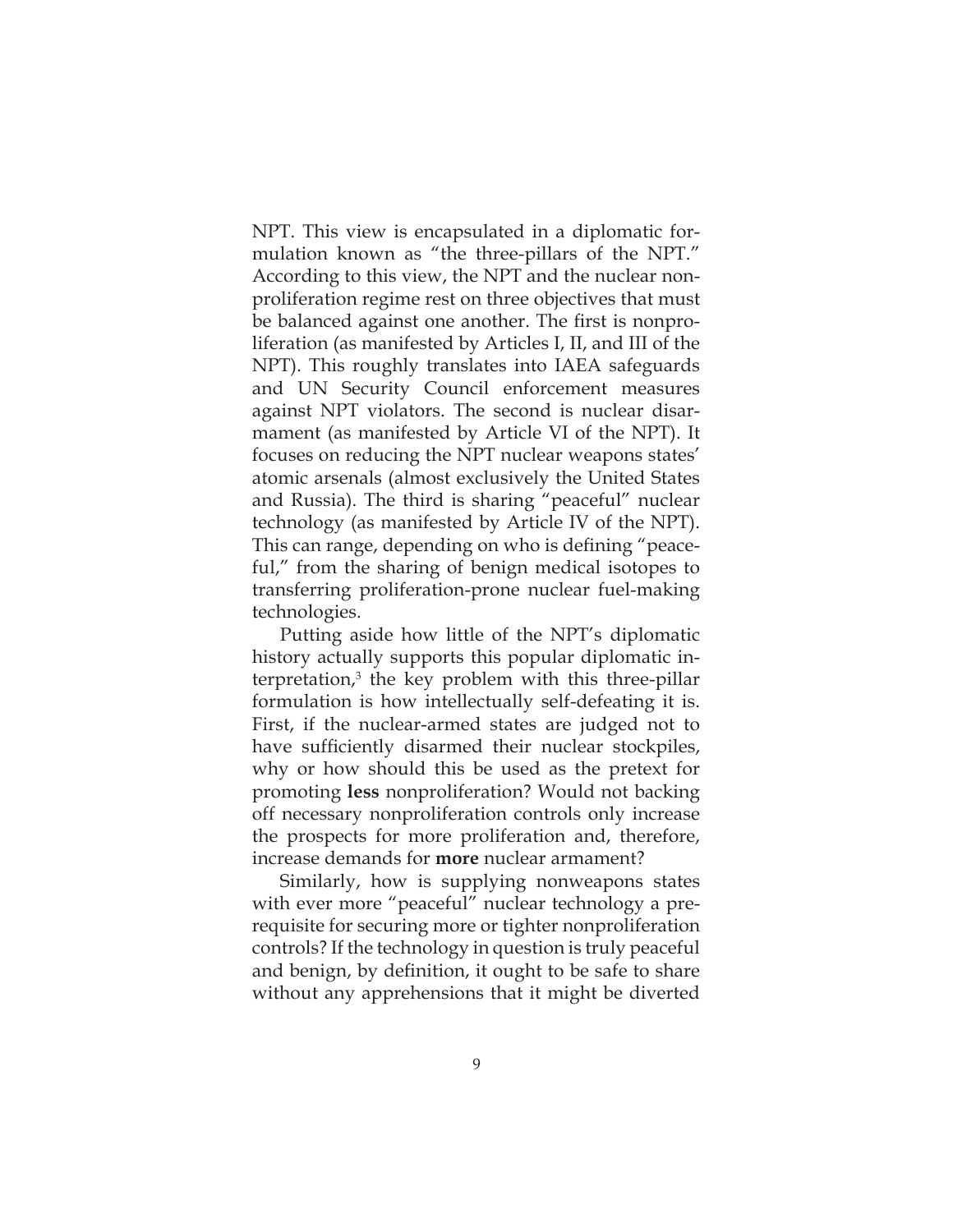NPT. This view is encapsulated in a diplomatic formulation known as "the three-pillars of the NPT." According to this view, the NPT and the nuclear nonproliferation regime rest on three objectives that must be balanced against one another. The first is nonproliferation (as manifested by Articles I, II, and III of the NPT). This roughly translates into IAEA safeguards and UN Security Council enforcement measures against NPT violators. The second is nuclear disarmament (as manifested by Article VI of the NPT). It focuses on reducing the NPT nuclear weapons states' atomic arsenals (almost exclusively the United States and Russia). The third is sharing "peaceful" nuclear technology (as manifested by Article IV of the NPT). This can range, depending on who is defining "peaceful," from the sharing of benign medical isotopes to transferring proliferation-prone nuclear fuel-making technologies.

Putting aside how little of the NPT's diplomatic history actually supports this popular diplomatic interpretation,3 the key problem with this three-pillar formulation is how intellectually self-defeating it is. First, if the nuclear-armed states are judged not to have sufficiently disarmed their nuclear stockpiles, why or how should this be used as the pretext for promoting **less** nonproliferation? Would not backing off necessary nonproliferation controls only increase the prospects for more proliferation and, therefore, increase demands for **more** nuclear armament?

Similarly, how is supplying nonweapons states with ever more "peaceful" nuclear technology a prerequisite for securing more or tighter nonproliferation controls? If the technology in question is truly peaceful and benign, by definition, it ought to be safe to share without any apprehensions that it might be diverted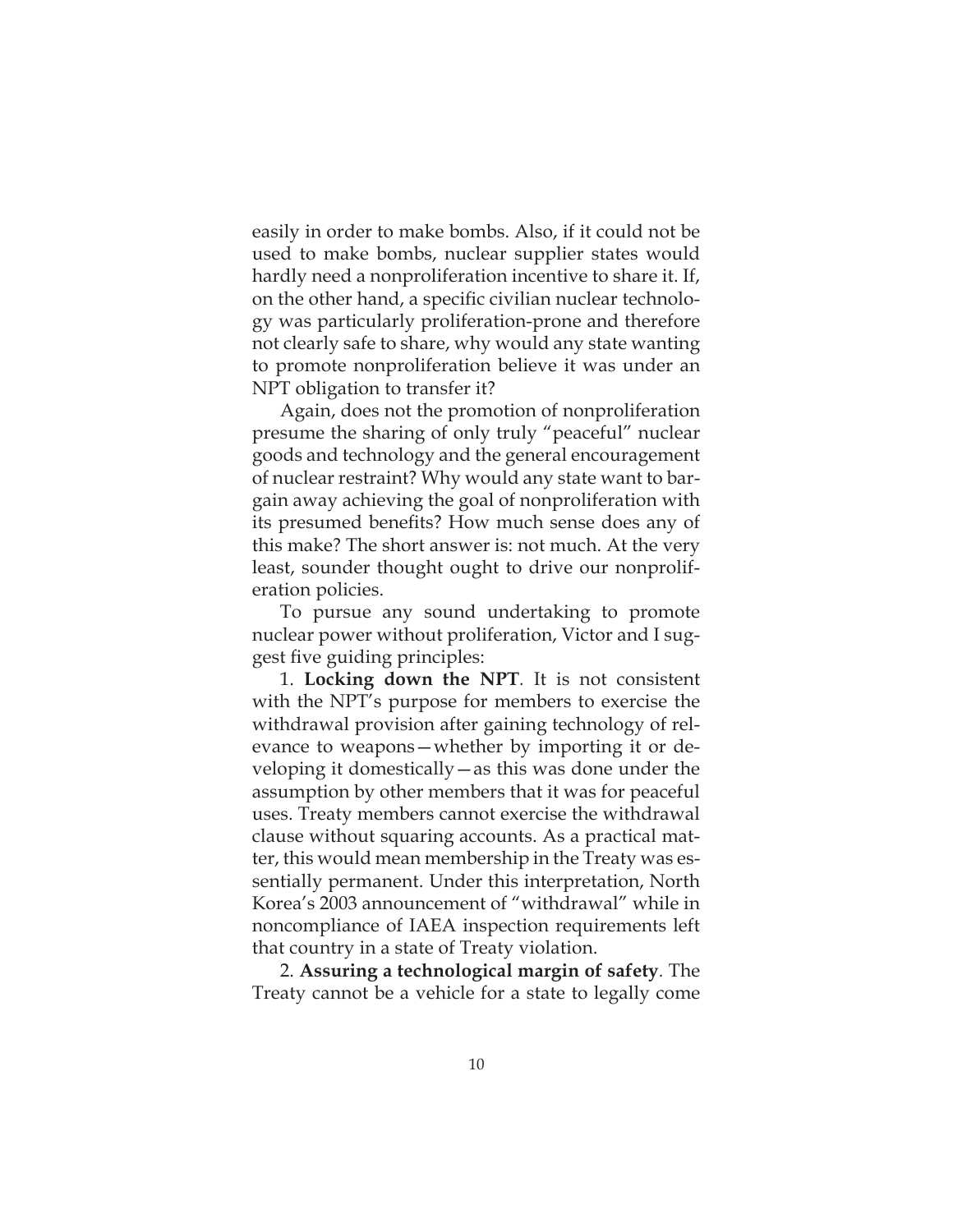easily in order to make bombs. Also, if it could not be used to make bombs, nuclear supplier states would hardly need a nonproliferation incentive to share it. If, on the other hand, a specific civilian nuclear technology was particularly proliferation-prone and therefore not clearly safe to share, why would any state wanting to promote nonproliferation believe it was under an NPT obligation to transfer it?

Again, does not the promotion of nonproliferation presume the sharing of only truly "peaceful" nuclear goods and technology and the general encouragement of nuclear restraint? Why would any state want to bargain away achieving the goal of nonproliferation with its presumed benefits? How much sense does any of this make? The short answer is: not much. At the very least, sounder thought ought to drive our nonproliferation policies.

To pursue any sound undertaking to promote nuclear power without proliferation, Victor and I suggest five guiding principles:

1. **Locking down the NPT***.* It is not consistent with the NPT's purpose for members to exercise the withdrawal provision after gaining technology of relevance to weapons—whether by importing it or developing it domestically—as this was done under the assumption by other members that it was for peaceful uses. Treaty members cannot exercise the withdrawal clause without squaring accounts. As a practical matter, this would mean membership in the Treaty was essentially permanent. Under this interpretation, North Korea's 2003 announcement of "withdrawal" while in noncompliance of IAEA inspection requirements left that country in a state of Treaty violation.

2. **Assuring a technological margin of safety***.* The Treaty cannot be a vehicle for a state to legally come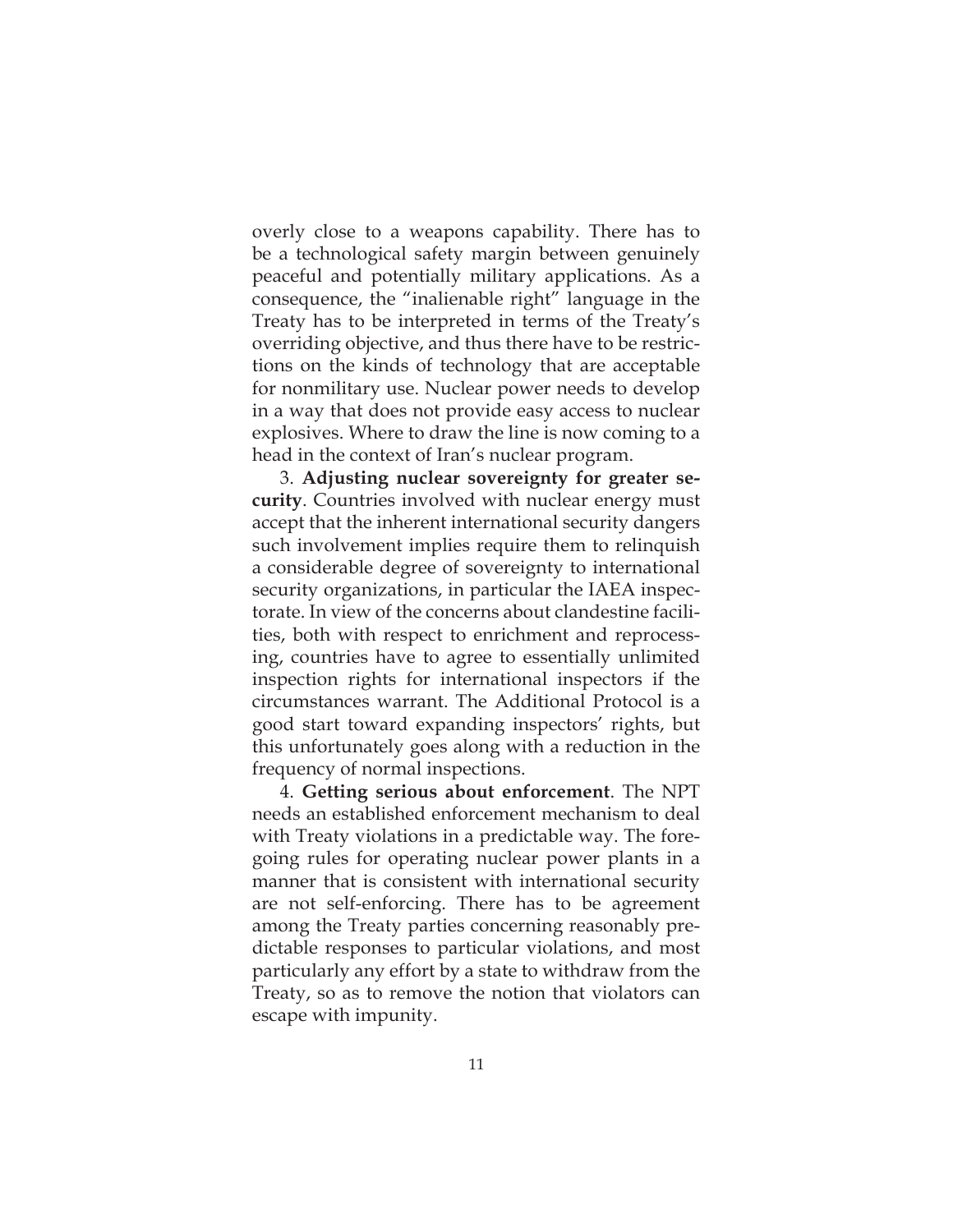overly close to a weapons capability. There has to be a technological safety margin between genuinely peaceful and potentially military applications. As a consequence, the "inalienable right" language in the Treaty has to be interpreted in terms of the Treaty's overriding objective, and thus there have to be restrictions on the kinds of technology that are acceptable for nonmilitary use. Nuclear power needs to develop in a way that does not provide easy access to nuclear explosives. Where to draw the line is now coming to a head in the context of Iran's nuclear program.

3. **Adjusting nuclear sovereignty for greater security**. Countries involved with nuclear energy must accept that the inherent international security dangers such involvement implies require them to relinquish a considerable degree of sovereignty to international security organizations, in particular the IAEA inspectorate. In view of the concerns about clandestine facilities, both with respect to enrichment and reprocessing, countries have to agree to essentially unlimited inspection rights for international inspectors if the circumstances warrant. The Additional Protocol is a good start toward expanding inspectors' rights, but this unfortunately goes along with a reduction in the frequency of normal inspections.

4. **Getting serious about enforcement**. The NPT needs an established enforcement mechanism to deal with Treaty violations in a predictable way. The foregoing rules for operating nuclear power plants in a manner that is consistent with international security are not self-enforcing. There has to be agreement among the Treaty parties concerning reasonably predictable responses to particular violations, and most particularly any effort by a state to withdraw from the Treaty, so as to remove the notion that violators can escape with impunity.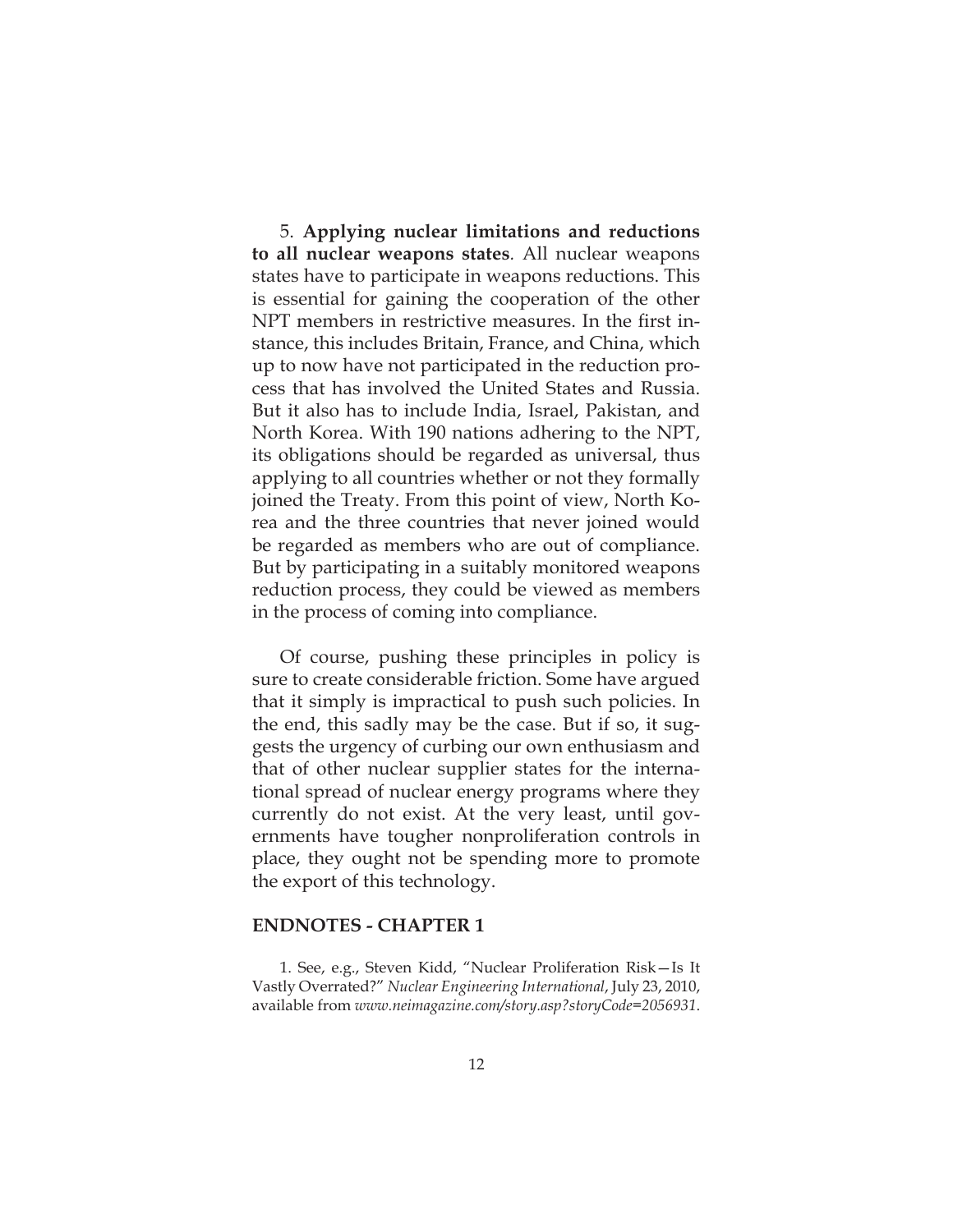5. **Applying nuclear limitations and reductions to all nuclear weapons states***.* All nuclear weapons states have to participate in weapons reductions. This is essential for gaining the cooperation of the other NPT members in restrictive measures. In the first instance, this includes Britain, France, and China, which up to now have not participated in the reduction process that has involved the United States and Russia. But it also has to include India, Israel, Pakistan, and North Korea. With 190 nations adhering to the NPT, its obligations should be regarded as universal, thus applying to all countries whether or not they formally joined the Treaty. From this point of view, North Korea and the three countries that never joined would be regarded as members who are out of compliance. But by participating in a suitably monitored weapons reduction process, they could be viewed as members in the process of coming into compliance.

Of course, pushing these principles in policy is sure to create considerable friction. Some have argued that it simply is impractical to push such policies. In the end, this sadly may be the case. But if so, it suggests the urgency of curbing our own enthusiasm and that of other nuclear supplier states for the international spread of nuclear energy programs where they currently do not exist. At the very least, until governments have tougher nonproliferation controls in place, they ought not be spending more to promote the export of this technology.

## **ENDNOTES - CHAPTER 1**

1. See, e.g., Steven Kidd, "Nuclear Proliferation Risk—Is It Vastly Overrated?" *Nuclear Engineering International*, July 23, 2010, available from *www.neimagazine.com/story.asp?storyCode=2056931*.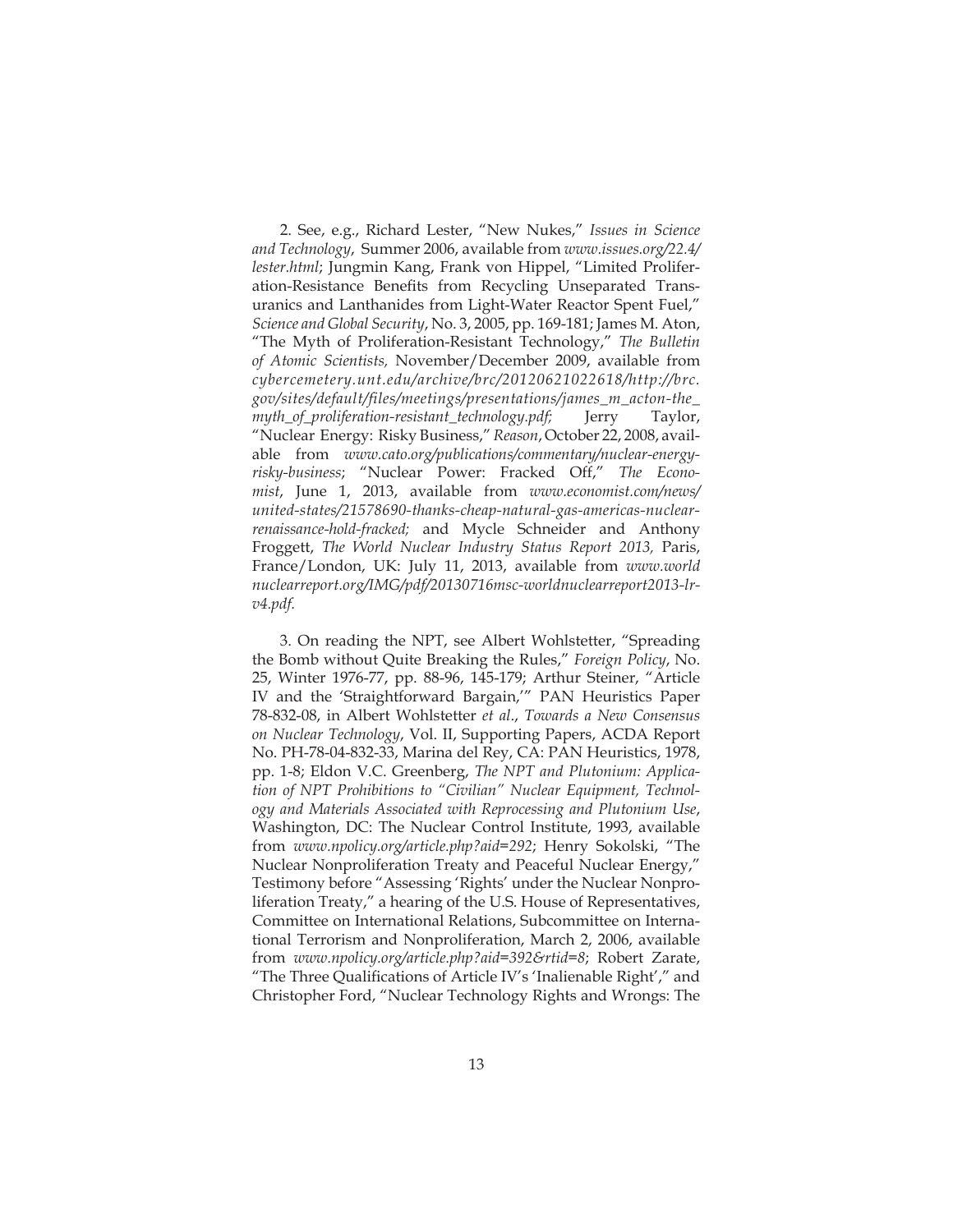2. See, e.g., Richard Lester, "New Nukes," *Issues in Science and Technology*, Summer 2006, available from *www.issues.org/22.4/ lester.html*; Jungmin Kang, Frank von Hippel, "Limited Proliferation-Resistance Benefits from Recycling Unseparated Transuranics and Lanthanides from Light-Water Reactor Spent Fuel," *Science and Global Security*, No. 3, 2005, pp. 169-181; James M. Aton, "The Myth of Proliferation-Resistant Technology," *The Bulletin of Atomic Scientists,* November/December 2009, available from *cybercemetery.unt.edu/archive/brc/20120621022618/http://brc. gov/sites/default/files/meetings/presentations/james\_m\_acton-the\_ myth\_of\_proliferation-resistant\_technology.pdf;* Jerry Taylor, "Nuclear Energy: Risky Business," *Reason*, October 22, 2008, available from *www.cato.org/publications/commentary/nuclear-energyrisky-business*; "Nuclear Power: Fracked Off," *The Economist*, June 1, 2013, available from *www.economist.com/news/ united-states/21578690-thanks-cheap-natural-gas-americas-nuclearrenaissance-hold-fracked;* and Mycle Schneider and Anthony Froggett, *The World Nuclear Industry Status Report 2013,* Paris, France/London, UK: July 11, 2013, available from *www.world nuclearreport.org/IMG/pdf/20130716msc-worldnuclearreport2013-lrv4.pdf.*

3. On reading the NPT, see Albert Wohlstetter, "Spreading the Bomb without Quite Breaking the Rules," *Foreign Policy*, No. 25, Winter 1976-77, pp. 88-96, 145-179; Arthur Steiner, "Article IV and the 'Straightforward Bargain,'" PAN Heuristics Paper 78-832-08, in Albert Wohlstetter *et al*., *Towards a New Consensus on Nuclear Technology*, Vol. II, Supporting Papers, ACDA Report No. PH-78-04-832-33, Marina del Rey, CA: PAN Heuristics, 1978, pp. 1-8; Eldon V.C. Greenberg, *The NPT and Plutonium: Application of NPT Prohibitions to "Civilian" Nuclear Equipment, Technology and Materials Associated with Reprocessing and Plutonium Use*, Washington, DC: The Nuclear Control Institute, 1993, available from *www.npolicy.org/article.php?aid=292*; Henry Sokolski, "The Nuclear Nonproliferation Treaty and Peaceful Nuclear Energy," Testimony before "Assessing 'Rights' under the Nuclear Nonproliferation Treaty," a hearing of the U.S. House of Representatives, Committee on International Relations, Subcommittee on International Terrorism and Nonproliferation, March 2, 2006, available from *www.npolicy.org/article.php?aid=392&rtid=8*; Robert Zarate, "The Three Qualifications of Article IV's 'Inalienable Right'," and Christopher Ford, "Nuclear Technology Rights and Wrongs: The